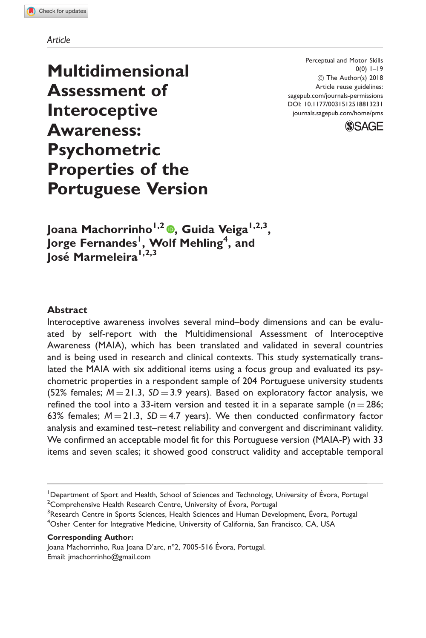#### Article

# Multidimensional Assessment of Interoceptive Awareness: Psychometric Properties of the Portuguese Version

Perceptual and Motor Skills  $0(0)$  1–19 C The Author(s) 2018 Article reuse guidelines: [sagepub.com/journals-permissions](https://us.sagepub.com/en-us/journals-permissions) DOI: [10.1177/0031512518813231](https://doi.org/10.1177/0031512518813231) <journals.sagepub.com/home/pms>



Joana Machorrinho<sup>1,2</sup> , Guida Veiga<sup>1,2,3</sup>, Jorge Fernandes<sup>I</sup>, Wolf Mehling<sup>4</sup>, and losé Marmeleira<sup>1,2,3</sup>

#### **Abstract**

Interoceptive awareness involves several mind–body dimensions and can be evaluated by self-report with the Multidimensional Assessment of Interoceptive Awareness (MAIA), which has been translated and validated in several countries and is being used in research and clinical contexts. This study systematically translated the MAIA with six additional items using a focus group and evaluated its psychometric properties in a respondent sample of 204 Portuguese university students (52% females;  $M = 21.3$ ,  $SD = 3.9$  years). Based on exploratory factor analysis, we refined the tool into a 33-item version and tested it in a separate sample ( $n = 286$ ; 63% females;  $M = 21.3$ ,  $SD = 4.7$  years). We then conducted confirmatory factor analysis and examined test–retest reliability and convergent and discriminant validity. We confirmed an acceptable model fit for this Portuguese version (MAIA-P) with 33 items and seven scales; it showed good construct validity and acceptable temporal

Corresponding Author:

Joana Machorrinho, Rua Joana D'arc, nº2, 7005-516 Évora, Portugal. Email: jmachorrinho@gmail.com

<sup>&</sup>lt;sup>1</sup> Department of Sport and Health, School of Sciences and Technology, University of Évora, Portugal <sup>2</sup>Comprehensive Health Besearch Centre University of Évora, Portugal <sup>2</sup> Comprehensive Health Research Centre, University of Évora, Portugal

<sup>&</sup>lt;sup>3</sup>Research Centre in Sports Sciences, Health Sciences and Human Development, Évora, Portugal Osher Center for Integrative Medicine, University of California, San Francisco, CA, USA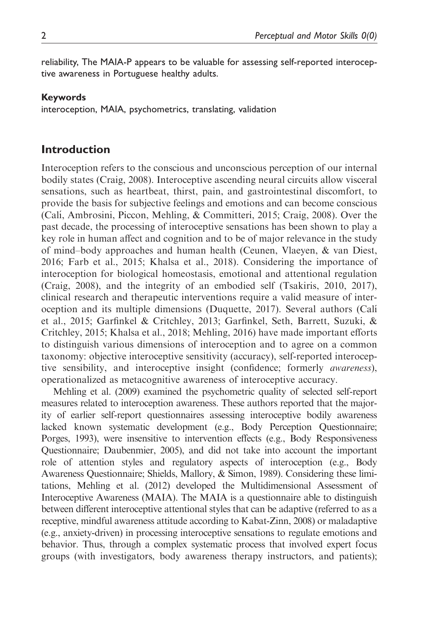reliability, The MAIA-P appears to be valuable for assessing self-reported interoceptive awareness in Portuguese healthy adults.

#### Keywords

interoception, MAIA, psychometrics, translating, validation

## Introduction

Interoception refers to the conscious and unconscious perception of our internal bodily states (Craig, 2008). Interoceptive ascending neural circuits allow visceral sensations, such as heartbeat, thirst, pain, and gastrointestinal discomfort, to provide the basis for subjective feelings and emotions and can become conscious (Calí, Ambrosini, Piccon, Mehling, & Committeri, 2015; Craig, 2008). Over the past decade, the processing of interoceptive sensations has been shown to play a key role in human affect and cognition and to be of major relevance in the study of mind–body approaches and human health (Ceunen, Vlaeyen, & van Diest, 2016; Farb et al., 2015; Khalsa et al., 2018). Considering the importance of interoception for biological homeostasis, emotional and attentional regulation (Craig, 2008), and the integrity of an embodied self (Tsakiris, 2010, 2017), clinical research and therapeutic interventions require a valid measure of interoception and its multiple dimensions (Duquette, 2017). Several authors (Calı´ et al., 2015; Garfinkel & Critchley, 2013; Garfinkel, Seth, Barrett, Suzuki, & Critchley, 2015; Khalsa et al., 2018; Mehling, 2016) have made important efforts to distinguish various dimensions of interoception and to agree on a common taxonomy: objective interoceptive sensitivity (accuracy), self-reported interoceptive sensibility, and interoceptive insight (confidence; formerly awareness), operationalized as metacognitive awareness of interoceptive accuracy.

Mehling et al. (2009) examined the psychometric quality of selected self-report measures related to interoception awareness. These authors reported that the majority of earlier self-report questionnaires assessing interoceptive bodily awareness lacked known systematic development (e.g., Body Perception Questionnaire; Porges, 1993), were insensitive to intervention effects (e.g., Body Responsiveness Questionnaire; Daubenmier, 2005), and did not take into account the important role of attention styles and regulatory aspects of interoception (e.g., Body Awareness Questionnaire; Shields, Mallory, & Simon, 1989). Considering these limitations, Mehling et al. (2012) developed the Multidimensional Assessment of Interoceptive Awareness (MAIA). The MAIA is a questionnaire able to distinguish between different interoceptive attentional styles that can be adaptive (referred to as a receptive, mindful awareness attitude according to Kabat-Zinn, 2008) or maladaptive (e.g., anxiety-driven) in processing interoceptive sensations to regulate emotions and behavior. Thus, through a complex systematic process that involved expert focus groups (with investigators, body awareness therapy instructors, and patients);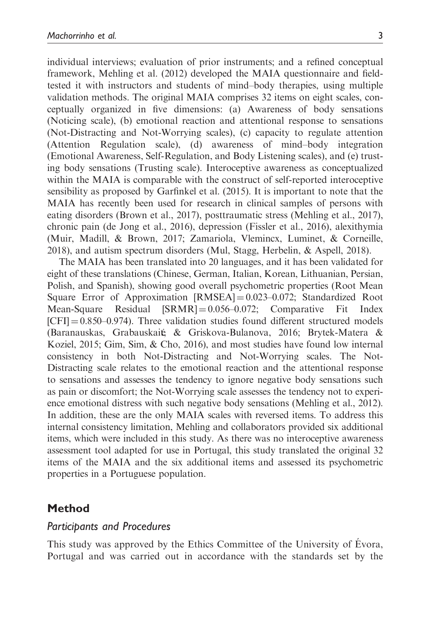individual interviews; evaluation of prior instruments; and a refined conceptual framework, Mehling et al. (2012) developed the MAIA questionnaire and fieldtested it with instructors and students of mind–body therapies, using multiple validation methods. The original MAIA comprises 32 items on eight scales, conceptually organized in five dimensions: (a) Awareness of body sensations (Noticing scale), (b) emotional reaction and attentional response to sensations (Not-Distracting and Not-Worrying scales), (c) capacity to regulate attention (Attention Regulation scale), (d) awareness of mind–body integration (Emotional Awareness, Self-Regulation, and Body Listening scales), and (e) trusting body sensations (Trusting scale). Interoceptive awareness as conceptualized within the MAIA is comparable with the construct of self-reported interoceptive sensibility as proposed by Garfinkel et al. (2015). It is important to note that the MAIA has recently been used for research in clinical samples of persons with eating disorders (Brown et al., 2017), posttraumatic stress (Mehling et al., 2017), chronic pain (de Jong et al., 2016), depression (Fissler et al., 2016), alexithymia (Muir, Madill, & Brown, 2017; Zamariola, Vlemincx, Luminet, & Corneille, 2018), and autism spectrum disorders (Mul, Stagg, Herbelin, & Aspell, 2018).

The MAIA has been translated into 20 languages, and it has been validated for eight of these translations (Chinese, German, Italian, Korean, Lithuanian, Persian, Polish, and Spanish), showing good overall psychometric properties (Root Mean Square Error of Approximation  $[RMSEA] = 0.023 - 0.072$ ; Standardized Root Mean-Square Residual  $[SRMR] = 0.056-0.072$ ; Comparative Fit Index  $[CFI] = 0.850-0.974$ . Three validation studies found different structured models (Baranauskas, Grabauskait, & Griskova-Bulanova, 2016; Brytek-Matera & Koziel, 2015; Gim, Sim, & Cho, 2016), and most studies have found low internal consistency in both Not-Distracting and Not-Worrying scales. The Not-Distracting scale relates to the emotional reaction and the attentional response to sensations and assesses the tendency to ignore negative body sensations such as pain or discomfort; the Not-Worrying scale assesses the tendency not to experience emotional distress with such negative body sensations (Mehling et al., 2012). In addition, these are the only MAIA scales with reversed items. To address this internal consistency limitation, Mehling and collaborators provided six additional items, which were included in this study. As there was no interoceptive awareness assessment tool adapted for use in Portugal, this study translated the original 32 items of the MAIA and the six additional items and assessed its psychometric properties in a Portuguese population.

# Method

## Participants and Procedures

This study was approved by the Ethics Committee of the University of Evora, Portugal and was carried out in accordance with the standards set by the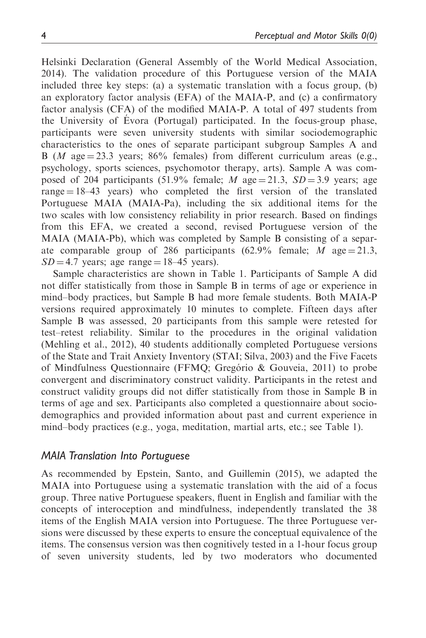Helsinki Declaration (General Assembly of the World Medical Association, 2014). The validation procedure of this Portuguese version of the MAIA included three key steps: (a) a systematic translation with a focus group, (b) an exploratory factor analysis (EFA) of the MAIA-P, and (c) a confirmatory factor analysis (CFA) of the modified MAIA-P. A total of 497 students from the University of Evora (Portugal) participated. In the focus-group phase, participants were seven university students with similar sociodemographic characteristics to the ones of separate participant subgroup Samples A and B (*M* age  $=$  23.3 years; 86% females) from different curriculum areas (e.g., psychology, sports sciences, psychomotor therapy, arts). Sample A was composed of 204 participants (51.9% female; M age = 21.3,  $SD = 3.9$  years; age range  $= 18-43$  years) who completed the first version of the translated Portuguese MAIA (MAIA-Pa), including the six additional items for the two scales with low consistency reliability in prior research. Based on findings from this EFA, we created a second, revised Portuguese version of the MAIA (MAIA-Pb), which was completed by Sample B consisting of a separate comparable group of 286 participants (62.9% female; M age = 21.3,  $SD = 4.7$  years; age range = 18–45 years).

Sample characteristics are shown in Table 1. Participants of Sample A did not differ statistically from those in Sample B in terms of age or experience in mind–body practices, but Sample B had more female students. Both MAIA-P versions required approximately 10 minutes to complete. Fifteen days after Sample B was assessed, 20 participants from this sample were retested for test–retest reliability. Similar to the procedures in the original validation (Mehling et al., 2012), 40 students additionally completed Portuguese versions of the State and Trait Anxiety Inventory (STAI; Silva, 2003) and the Five Facets of Mindfulness Questionnaire (FFMQ; Gregório & Gouveia, 2011) to probe convergent and discriminatory construct validity. Participants in the retest and construct validity groups did not differ statistically from those in Sample B in terms of age and sex. Participants also completed a questionnaire about sociodemographics and provided information about past and current experience in mind–body practices (e.g., yoga, meditation, martial arts, etc.; see Table 1).

# MAIA Translation Into Portuguese

As recommended by Epstein, Santo, and Guillemin (2015), we adapted the MAIA into Portuguese using a systematic translation with the aid of a focus group. Three native Portuguese speakers, fluent in English and familiar with the concepts of interoception and mindfulness, independently translated the 38 items of the English MAIA version into Portuguese. The three Portuguese versions were discussed by these experts to ensure the conceptual equivalence of the items. The consensus version was then cognitively tested in a 1-hour focus group of seven university students, led by two moderators who documented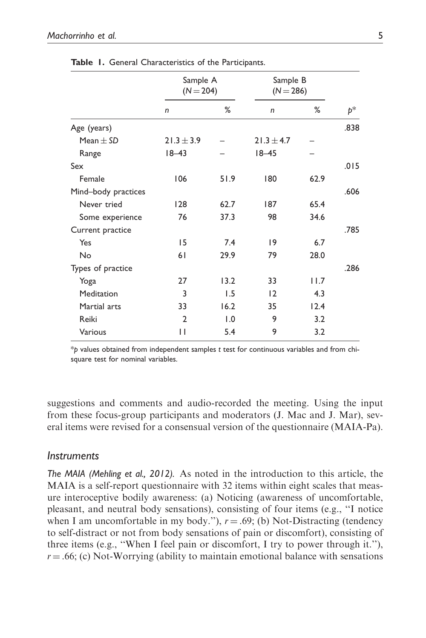|                     | Sample A<br>$(N = 204)$ |      | Sample B<br>$(N = 286)$ |      |       |
|---------------------|-------------------------|------|-------------------------|------|-------|
|                     | n                       | ℅    | $\mathsf{n}$            | %    | $p^*$ |
| Age (years)         |                         |      |                         |      | .838  |
| Mean $\pm$ SD       | $21.3 \pm 3.9$          |      | $21.3 \pm 4.7$          |      |       |
| Range               | $18 - 43$               |      | $18 - 45$               |      |       |
| Sex                 |                         |      |                         |      | .015  |
| Female              | 106                     | 51.9 | 180                     | 62.9 |       |
| Mind-body practices |                         |      |                         |      | .606  |
| Never tried         | 128                     | 62.7 | 187                     | 65.4 |       |
| Some experience     | 76                      | 37.3 | 98                      | 34.6 |       |
| Current practice    |                         |      |                         |      | .785  |
| Yes                 | 15                      | 7.4  | 9                       | 6.7  |       |
| No                  | 61                      | 29.9 | 79                      | 28.0 |       |
| Types of practice   |                         |      |                         |      | .286  |
| Yoga                | 27                      | 13.2 | 33                      | 11.7 |       |
| Meditation          | 3                       | 1.5  | 12                      | 4.3  |       |
| Martial arts        | 33                      | 16.2 | 35                      | 12.4 |       |
| Reiki               | $\overline{2}$          | 1.0  | 9                       | 3.2  |       |
| Various             | $\mathbf{L}$            | 5.4  | 9                       | 3.2  |       |

Table 1. General Characteristics of the Participants.

 $*$ p values obtained from independent samples t test for continuous variables and from chisquare test for nominal variables.

suggestions and comments and audio-recorded the meeting. Using the input from these focus-group participants and moderators (J. Mac and J. Mar), several items were revised for a consensual version of the questionnaire (MAIA-Pa).

#### **Instruments**

The MAIA (Mehling et al., 2012). As noted in the introduction to this article, the MAIA is a self-report questionnaire with 32 items within eight scales that measure interoceptive bodily awareness: (a) Noticing (awareness of uncomfortable, pleasant, and neutral body sensations), consisting of four items (e.g., ''I notice when I am uncomfortable in my body."),  $r = .69$ ; (b) Not-Distracting (tendency to self-distract or not from body sensations of pain or discomfort), consisting of three items (e.g., ''When I feel pain or discomfort, I try to power through it.''),  $r = .66$ ; (c) Not-Worrying (ability to maintain emotional balance with sensations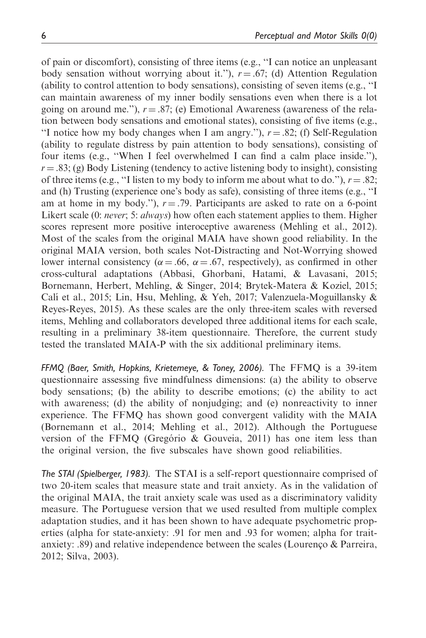of pain or discomfort), consisting of three items (e.g., ''I can notice an unpleasant body sensation without worrying about it."),  $r = .67$ ; (d) Attention Regulation (ability to control attention to body sensations), consisting of seven items (e.g., ''I can maintain awareness of my inner bodily sensations even when there is a lot going on around me."),  $r = .87$ ; (e) Emotional Awareness (awareness of the relation between body sensations and emotional states), consisting of five items (e.g., "I notice how my body changes when I am angry."),  $r = .82$ ; (f) Self-Regulation (ability to regulate distress by pain attention to body sensations), consisting of four items (e.g., ''When I feel overwhelmed I can find a calm place inside.''),  $r = .83$ ; (g) Body Listening (tendency to active listening body to insight), consisting of three items (e.g., "I listen to my body to inform me about what to do."),  $r = .82$ ; and (h) Trusting (experience one's body as safe), consisting of three items (e.g., ''I am at home in my body."),  $r = .79$ . Participants are asked to rate on a 6-point Likert scale (0: never; 5: always) how often each statement applies to them. Higher scores represent more positive interoceptive awareness (Mehling et al., 2012). Most of the scales from the original MAIA have shown good reliability. In the original MAIA version, both scales Not-Distracting and Not-Worrying showed lower internal consistency ( $\alpha = .66$ ,  $\alpha = .67$ , respectively), as confirmed in other cross-cultural adaptations (Abbasi, Ghorbani, Hatami, & Lavasani, 2015; Bornemann, Herbert, Mehling, & Singer, 2014; Brytek-Matera & Koziel, 2015; Calí et al., 2015; Lin, Hsu, Mehling, & Yeh, 2017; Valenzuela-Moguillansky & Reyes-Reyes, 2015). As these scales are the only three-item scales with reversed items, Mehling and collaborators developed three additional items for each scale, resulting in a preliminary 38-item questionnaire. Therefore, the current study tested the translated MAIA-P with the six additional preliminary items.

FFMQ (Baer, Smith, Hopkins, Krietemeye, & Toney, 2006). The FFMQ is a 39-item questionnaire assessing five mindfulness dimensions: (a) the ability to observe body sensations; (b) the ability to describe emotions; (c) the ability to act with awareness; (d) the ability of nonjudging; and (e) nonreactivity to inner experience. The FFMQ has shown good convergent validity with the MAIA (Bornemann et al., 2014; Mehling et al., 2012). Although the Portuguese version of the FFMQ (Gregório  $\&$  Gouveia, 2011) has one item less than the original version, the five subscales have shown good reliabilities.

The STAI (Spielberger, 1983). The STAI is a self-report questionnaire comprised of two 20-item scales that measure state and trait anxiety. As in the validation of the original MAIA, the trait anxiety scale was used as a discriminatory validity measure. The Portuguese version that we used resulted from multiple complex adaptation studies, and it has been shown to have adequate psychometric properties (alpha for state-anxiety: .91 for men and .93 for women; alpha for traitanxiety: .89) and relative independence between the scales (Lourenco  $&$  Parreira, 2012; Silva, 2003).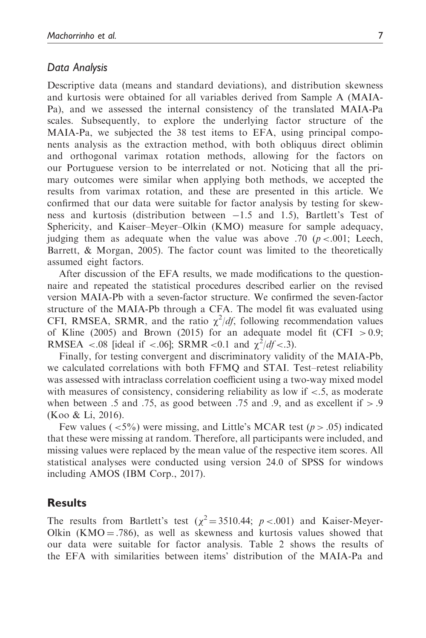#### Data Analysis

Descriptive data (means and standard deviations), and distribution skewness and kurtosis were obtained for all variables derived from Sample A (MAIA-Pa), and we assessed the internal consistency of the translated MAIA-Pa scales. Subsequently, to explore the underlying factor structure of the MAIA-Pa, we subjected the 38 test items to EFA, using principal components analysis as the extraction method, with both obliquus direct oblimin and orthogonal varimax rotation methods, allowing for the factors on our Portuguese version to be interrelated or not. Noticing that all the primary outcomes were similar when applying both methods, we accepted the results from varimax rotation, and these are presented in this article. We confirmed that our data were suitable for factor analysis by testing for skewness and kurtosis (distribution between  $-1.5$  and 1.5), Bartlett's Test of Sphericity, and Kaiser–Meyer–Olkin (KMO) measure for sample adequacy, judging them as adequate when the value was above .70 ( $p < .001$ ; Leech, Barrett, & Morgan, 2005). The factor count was limited to the theoretically assumed eight factors.

After discussion of the EFA results, we made modifications to the questionnaire and repeated the statistical procedures described earlier on the revised version MAIA-Pb with a seven-factor structure. We confirmed the seven-factor structure of the MAIA-Pb through a CFA. The model fit was evaluated using CFI, RMSEA, SRMR, and the ratio  $\chi^2/df$ , following recommendation values of Kline (2005) and Brown (2015) for an adequate model fit (CFI  $> 0.9$ ; RMSEA <.08 [ideal if <.06]; SRMR <0.1 and  $\chi^2/df$  <.3).

Finally, for testing convergent and discriminatory validity of the MAIA-Pb, we calculated correlations with both FFMQ and STAI. Test–retest reliability was assessed with intraclass correlation coefficient using a two-way mixed model with measures of consistency, considering reliability as low if  $\lt$  5, as moderate when between .5 and .75, as good between .75 and .9, and as excellent if  $>$  .9 (Koo & Li, 2016).

Few values ( $\langle 5\% \rangle$ ) were missing, and Little's MCAR test ( $p > .05$ ) indicated that these were missing at random. Therefore, all participants were included, and missing values were replaced by the mean value of the respective item scores. All statistical analyses were conducted using version 24.0 of SPSS for windows including AMOS (IBM Corp., 2017).

# **Results**

The results from Bartlett's test  $(\chi^2 = 3510.44; p < .001)$  and Kaiser-Meyer-Olkin (KMO  $=$  .786), as well as skewness and kurtosis values showed that our data were suitable for factor analysis. Table 2 shows the results of the EFA with similarities between items' distribution of the MAIA-Pa and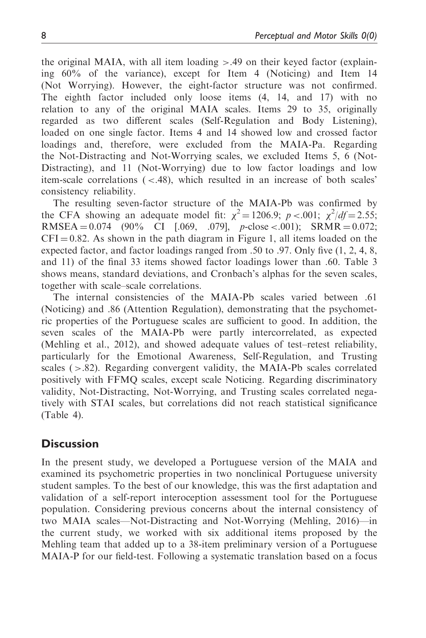the original MAIA, with all item loading >.49 on their keyed factor (explaining 60% of the variance), except for Item 4 (Noticing) and Item 14 (Not Worrying). However, the eight-factor structure was not confirmed. The eighth factor included only loose items (4, 14, and 17) with no relation to any of the original MAIA scales. Items 29 to 35, originally regarded as two different scales (Self-Regulation and Body Listening), loaded on one single factor. Items 4 and 14 showed low and crossed factor loadings and, therefore, were excluded from the MAIA-Pa. Regarding the Not-Distracting and Not-Worrying scales, we excluded Items 5, 6 (Not-Distracting), and 11 (Not-Worrying) due to low factor loadings and low item-scale correlations ( <.48), which resulted in an increase of both scales' consistency reliability.

The resulting seven-factor structure of the MAIA-Pb was confirmed by the CFA showing an adequate model fit:  $\chi^2 = 1206.9$ ;  $p < .001$ ;  $\chi^2/df = 2.55$ ; RMSEA =  $0.074$  (90% CI [.069, .079], p-close <.001); SRMR = 0.072;  $CFI = 0.82$ . As shown in the path diagram in Figure 1, all items loaded on the expected factor, and factor loadings ranged from .50 to .97. Only five (1, 2, 4, 8, and 11) of the final 33 items showed factor loadings lower than .60. Table 3 shows means, standard deviations, and Cronbach's alphas for the seven scales, together with scale–scale correlations.

The internal consistencies of the MAIA-Pb scales varied between .61 (Noticing) and .86 (Attention Regulation), demonstrating that the psychometric properties of the Portuguese scales are sufficient to good. In addition, the seven scales of the MAIA-Pb were partly intercorrelated, as expected (Mehling et al., 2012), and showed adequate values of test–retest reliability, particularly for the Emotional Awareness, Self-Regulation, and Trusting scales ( > .82). Regarding convergent validity, the MAIA-Pb scales correlated positively with FFMQ scales, except scale Noticing. Regarding discriminatory validity, Not-Distracting, Not-Worrying, and Trusting scales correlated negatively with STAI scales, but correlations did not reach statistical significance (Table 4).

# **Discussion**

In the present study, we developed a Portuguese version of the MAIA and examined its psychometric properties in two nonclinical Portuguese university student samples. To the best of our knowledge, this was the first adaptation and validation of a self-report interoception assessment tool for the Portuguese population. Considering previous concerns about the internal consistency of two MAIA scales—Not-Distracting and Not-Worrying (Mehling, 2016)—in the current study, we worked with six additional items proposed by the Mehling team that added up to a 38-item preliminary version of a Portuguese MAIA-P for our field-test. Following a systematic translation based on a focus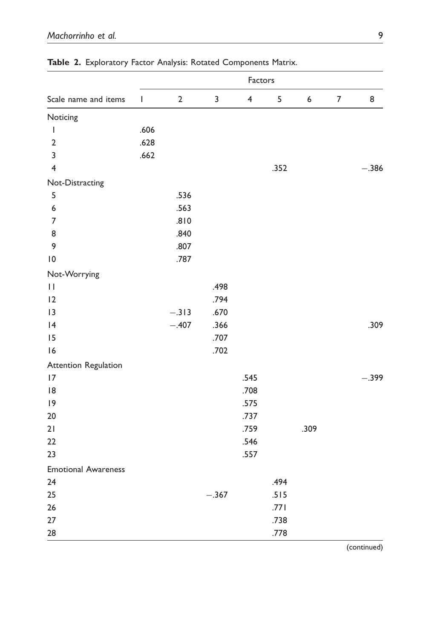|                            |             |             |         | Factors                 |      |                  |                |         |
|----------------------------|-------------|-------------|---------|-------------------------|------|------------------|----------------|---------|
| Scale name and items       | $\mathsf I$ | $\mathbf 2$ | 3       | $\overline{\mathbf{4}}$ | 5    | $\boldsymbol{6}$ | $\overline{7}$ | 8       |
| Noticing                   |             |             |         |                         |      |                  |                |         |
| T                          | .606        |             |         |                         |      |                  |                |         |
| $\overline{2}$             | .628        |             |         |                         |      |                  |                |         |
| 3                          | .662        |             |         |                         |      |                  |                |         |
| $\overline{\mathbf{4}}$    |             |             |         |                         | .352 |                  |                | $-.386$ |
| Not-Distracting            |             |             |         |                         |      |                  |                |         |
| 5                          |             | .536        |         |                         |      |                  |                |         |
| $\boldsymbol{6}$           |             | .563        |         |                         |      |                  |                |         |
| $\overline{7}$             |             | .810        |         |                         |      |                  |                |         |
| 8                          |             | .840        |         |                         |      |                  |                |         |
| 9                          |             | .807        |         |                         |      |                  |                |         |
| $\overline{10}$            |             | .787        |         |                         |      |                  |                |         |
| Not-Worrying               |             |             |         |                         |      |                  |                |         |
| $\mathbf{H}$               |             |             | .498    |                         |      |                  |                |         |
| 12                         |             |             | .794    |                         |      |                  |                |         |
| 13                         |             | $-.313$     | .670    |                         |      |                  |                |         |
| 4                          |             | $-.407$     | .366    |                         |      |                  |                | .309    |
| 15                         |             |             | .707    |                         |      |                  |                |         |
| 16                         |             |             | .702    |                         |      |                  |                |         |
| Attention Regulation       |             |             |         |                         |      |                  |                |         |
| 17                         |             |             |         | .545                    |      |                  |                | $-.399$ |
| 8                          |             |             |         | .708                    |      |                  |                |         |
| 9                          |             |             |         | .575                    |      |                  |                |         |
| 20                         |             |             |         | .737                    |      |                  |                |         |
| 21                         |             |             |         | .759                    |      | .309             |                |         |
| 22                         |             |             |         | .546                    |      |                  |                |         |
| 23                         |             |             |         | .557                    |      |                  |                |         |
| <b>Emotional Awareness</b> |             |             |         |                         |      |                  |                |         |
| 24                         |             |             |         |                         | .494 |                  |                |         |
| 25                         |             |             | $-.367$ |                         | .515 |                  |                |         |
| 26                         |             |             |         |                         | .771 |                  |                |         |
| 27                         |             |             |         |                         | .738 |                  |                |         |
| 28                         |             |             |         |                         | .778 |                  |                |         |

## Table 2. Exploratory Factor Analysis: Rotated Components Matrix.

(continued)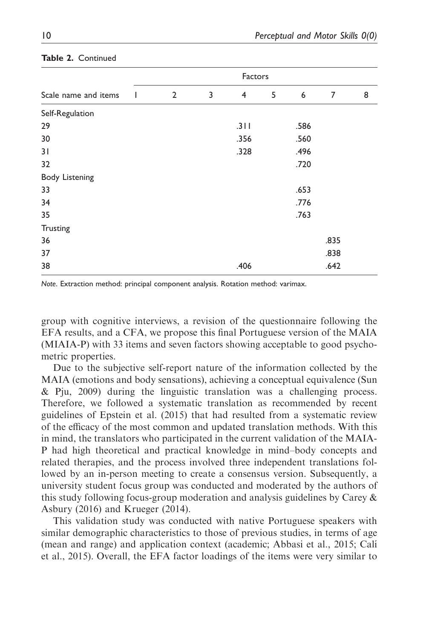|                       |   |                |   | Factors        |   |      |                |   |
|-----------------------|---|----------------|---|----------------|---|------|----------------|---|
| Scale name and items  | I | $\overline{2}$ | 3 | $\overline{4}$ | 5 | 6    | $\overline{7}$ | 8 |
| Self-Regulation       |   |                |   |                |   |      |                |   |
| 29                    |   |                |   | .311           |   | .586 |                |   |
| 30                    |   |                |   | .356           |   | .560 |                |   |
| 31                    |   |                |   | .328           |   | .496 |                |   |
| 32                    |   |                |   |                |   | .720 |                |   |
| <b>Body Listening</b> |   |                |   |                |   |      |                |   |
| 33                    |   |                |   |                |   | .653 |                |   |
| 34                    |   |                |   |                |   | .776 |                |   |
| 35                    |   |                |   |                |   | .763 |                |   |
| <b>Trusting</b>       |   |                |   |                |   |      |                |   |
| 36                    |   |                |   |                |   |      | .835           |   |
| 37                    |   |                |   |                |   |      | .838           |   |
| 38                    |   |                |   | .406           |   |      | .642           |   |

#### Table 2. Continued

Note. Extraction method: principal component analysis. Rotation method: varimax.

group with cognitive interviews, a revision of the questionnaire following the EFA results, and a CFA, we propose this final Portuguese version of the MAIA (MIAIA-P) with 33 items and seven factors showing acceptable to good psychometric properties.

Due to the subjective self-report nature of the information collected by the MAIA (emotions and body sensations), achieving a conceptual equivalence (Sun & Pju, 2009) during the linguistic translation was a challenging process. Therefore, we followed a systematic translation as recommended by recent guidelines of Epstein et al. (2015) that had resulted from a systematic review of the efficacy of the most common and updated translation methods. With this in mind, the translators who participated in the current validation of the MAIA-P had high theoretical and practical knowledge in mind–body concepts and related therapies, and the process involved three independent translations followed by an in-person meeting to create a consensus version. Subsequently, a university student focus group was conducted and moderated by the authors of this study following focus-group moderation and analysis guidelines by Carey & Asbury (2016) and Krueger (2014).

This validation study was conducted with native Portuguese speakers with similar demographic characteristics to those of previous studies, in terms of age (mean and range) and application context (academic; Abbasi et al., 2015; Calı´ et al., 2015). Overall, the EFA factor loadings of the items were very similar to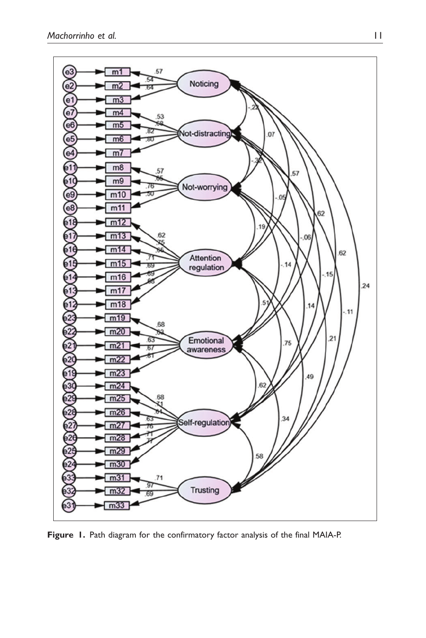

Figure 1. Path diagram for the confirmatory factor analysis of the final MAIA-P.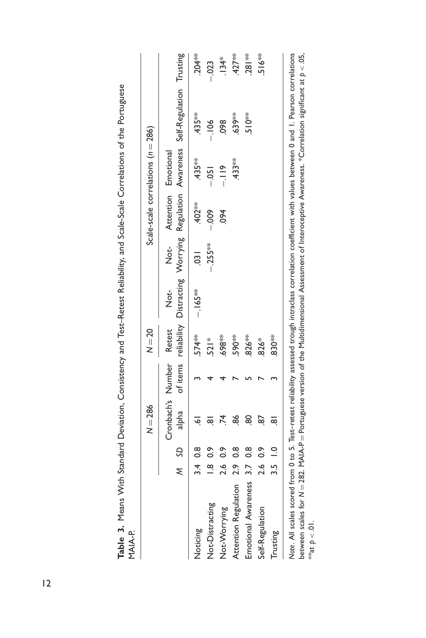|                             |         |             | $N = 286$                       | $N = 20$ |            |               |                          | Scale-scale correlations ( $n = 286$ ) |                                                                                         |          |
|-----------------------------|---------|-------------|---------------------------------|----------|------------|---------------|--------------------------|----------------------------------------|-----------------------------------------------------------------------------------------|----------|
|                             |         |             | Cronbach's Number<br>M SD alpha | Retest   | s<br>R     |               | Not- Attention Emotional |                                        | of items reliability Distracting Worrying Regulation Awareness Self-Regulation Trusting |          |
| Noticing                    |         | $3.4$ 0.8   |                                 | $574**$  | $-.165***$ | $\frac{1}{2}$ | $.402**$                 | $435**$                                | $.435**$                                                                                | $.204**$ |
| Not-Distracting             |         | $1.8 \t0.9$ | $\bar{\infty}$                  | $521*$   |            | $-0.255**$    | $-0.009$                 | $-0.51$                                | $-106$                                                                                  | 023      |
| Not-Worrying                | 2.6 0.9 |             | $\ddot{z}$                      | $.698**$ |            |               | 60                       | $-119$                                 | 098                                                                                     | $.134*$  |
| Attention Regulation        | 2.9 0.8 |             | 86                              | $.590**$ |            |               |                          | $433**$                                | 639**                                                                                   | $.427**$ |
| Emotional Awareness 3.7 0.8 |         |             | 8                               | 826**    |            |               |                          |                                        | $\frac{1}{2}$                                                                           | $.281**$ |
| Self-Regulation             |         | 2.6 0.9     | 87                              | $826*$   |            |               |                          |                                        |                                                                                         | $516**$  |
| Trusting                    |         | 3.5 1.0     | ۊ                               | $830**$  |            |               |                          |                                        |                                                                                         |          |

Table 3. Means With Standard Deviation, Consistency and Test–Retest Reliability, and Scale-Scale Correlations of the Portuguese Table 3. Means With Standard Deviation, Consistency and Test-Retest Reliability, and Scale-Scale Correlations of the Portuguese<br>MAIA-D between scales for N = 282. MAIA-P = Portuguese version of the Multidimensional Assessment of Interoceptive Awareness. \*Correlation significant at  $p < 05$ ,  $10^{\circ} > d$   $\ensuremath{\mathrm{10^{43} s}}$  $\cdot$  of  $p < 0$  .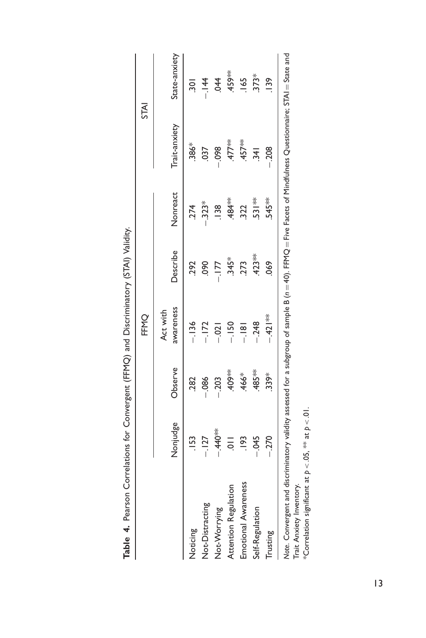|                                                                                                                                                                |                    |         | FFMQ                  |          |          |               | STAI           |
|----------------------------------------------------------------------------------------------------------------------------------------------------------------|--------------------|---------|-----------------------|----------|----------|---------------|----------------|
|                                                                                                                                                                | Nonjudge           | Observe | awareness<br>Act with | Describe | Nonreact | Trait-anxiety | State-anxiety  |
| Noticing                                                                                                                                                       | $-153$             | 282     | $-136$                | 292      | 274      | $.386*$       | $\overline{5}$ |
| Not-Distracting                                                                                                                                                | $-.127$            | $-086$  | $-172$                | 090      | $.323*$  | 037           | $-144$         |
| Not-Worrying                                                                                                                                                   | $-40$ <sup>*</sup> | $-.203$ | $-021$                | $-177$   | 138      | $-0.098$      | 64             |
| Attention Regulation                                                                                                                                           | $\overline{a}$     | $400*$  | $-150$                | $.345*$  | $.484**$ | $.477**$      | $.459***$      |
| Emotional Awareness                                                                                                                                            | 193                | .466*   | $-181$                | 273      | 322      | $.457**$      | 165            |
| Self-Regulation                                                                                                                                                | $-0.045$           | .485**  | $-.248$               | $.423**$ | $.531**$ | 34            | $.373*$        |
| Trusting                                                                                                                                                       | $-.270$            | $339*$  | $\frac{421}{3}$       | 890      | $.545**$ | $-208$        | $\frac{8}{3}$  |
| Note. Convergent and discriminatory validity assessed for a subgroup of sample B ( $n=40$ ). FFMQ = Five Facets of Mindfulness Questionnaire; STAI = State and |                    |         |                       |          |          |               |                |

Table 4. Pearson Correlations for Convergent (FFMQ) and Discriminatory (STAI) Validity. Table 4. Pearson Correlations for Convergent (FFMQ) and Discriminatory (STAI) Validity.

Trait Anxiety Inventory.<br>\*Correlation significant at  $p < .05$ , \*\* at  $p < .01$ . Trait Anxiety Inventory.

\*Correlation significant at  $p < 0.05$ , \*\* at  $p < 0.01$ .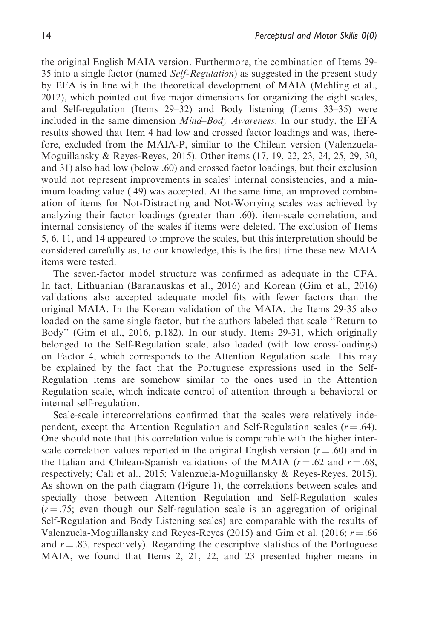the original English MAIA version. Furthermore, the combination of Items 29- 35 into a single factor (named *Self-Regulation*) as suggested in the present study by EFA is in line with the theoretical development of MAIA (Mehling et al., 2012), which pointed out five major dimensions for organizing the eight scales, and Self-regulation (Items 29–32) and Body listening (Items 33–35) were included in the same dimension *Mind–Body Awareness*. In our study, the EFA results showed that Item 4 had low and crossed factor loadings and was, therefore, excluded from the MAIA-P, similar to the Chilean version (Valenzuela-Moguillansky & Reyes-Reyes, 2015). Other items (17, 19, 22, 23, 24, 25, 29, 30, and 31) also had low (below .60) and crossed factor loadings, but their exclusion would not represent improvements in scales' internal consistencies, and a minimum loading value (.49) was accepted. At the same time, an improved combination of items for Not-Distracting and Not-Worrying scales was achieved by analyzing their factor loadings (greater than .60), item-scale correlation, and internal consistency of the scales if items were deleted. The exclusion of Items 5, 6, 11, and 14 appeared to improve the scales, but this interpretation should be considered carefully as, to our knowledge, this is the first time these new MAIA items were tested.

The seven-factor model structure was confirmed as adequate in the CFA. In fact, Lithuanian (Baranauskas et al., 2016) and Korean (Gim et al., 2016) validations also accepted adequate model fits with fewer factors than the original MAIA. In the Korean validation of the MAIA, the Items 29-35 also loaded on the same single factor, but the authors labeled that scale ''Return to Body'' (Gim et al., 2016, p.182). In our study, Items 29-31, which originally belonged to the Self-Regulation scale, also loaded (with low cross-loadings) on Factor 4, which corresponds to the Attention Regulation scale. This may be explained by the fact that the Portuguese expressions used in the Self-Regulation items are somehow similar to the ones used in the Attention Regulation scale, which indicate control of attention through a behavioral or internal self-regulation.

Scale-scale intercorrelations confirmed that the scales were relatively independent, except the Attention Regulation and Self-Regulation scales  $(r = .64)$ . One should note that this correlation value is comparable with the higher interscale correlation values reported in the original English version ( $r = .60$ ) and in the Italian and Chilean-Spanish validations of the MAIA ( $r = .62$  and  $r = .68$ , respectively; Calí et al., 2015; Valenzuela-Moguillansky  $\&$  Reyes-Reyes, 2015). As shown on the path diagram (Figure 1), the correlations between scales and specially those between Attention Regulation and Self-Regulation scales  $(r = .75;$  even though our Self-regulation scale is an aggregation of original Self-Regulation and Body Listening scales) are comparable with the results of Valenzuela-Moguillansky and Reyes-Reyes (2015) and Gim et al. (2016;  $r = .66$ and  $r = .83$ , respectively). Regarding the descriptive statistics of the Portuguese MAIA, we found that Items 2, 21, 22, and 23 presented higher means in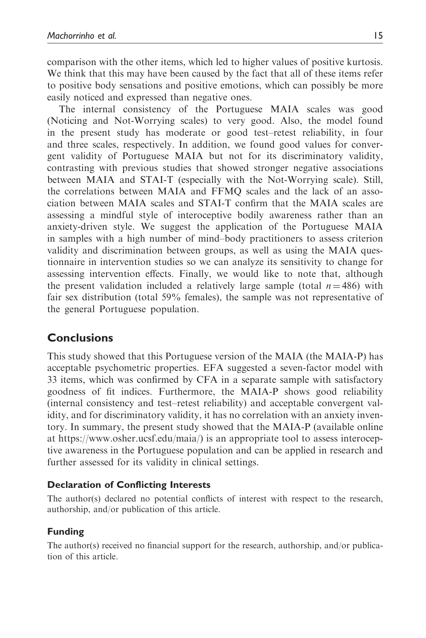comparison with the other items, which led to higher values of positive kurtosis. We think that this may have been caused by the fact that all of these items refer to positive body sensations and positive emotions, which can possibly be more easily noticed and expressed than negative ones.

The internal consistency of the Portuguese MAIA scales was good (Noticing and Not-Worrying scales) to very good. Also, the model found in the present study has moderate or good test–retest reliability, in four and three scales, respectively. In addition, we found good values for convergent validity of Portuguese MAIA but not for its discriminatory validity, contrasting with previous studies that showed stronger negative associations between MAIA and STAI-T (especially with the Not-Worrying scale). Still, the correlations between MAIA and FFMQ scales and the lack of an association between MAIA scales and STAI-T confirm that the MAIA scales are assessing a mindful style of interoceptive bodily awareness rather than an anxiety-driven style. We suggest the application of the Portuguese MAIA in samples with a high number of mind–body practitioners to assess criterion validity and discrimination between groups, as well as using the MAIA questionnaire in intervention studies so we can analyze its sensitivity to change for assessing intervention effects. Finally, we would like to note that, although the present validation included a relatively large sample (total  $n = 486$ ) with fair sex distribution (total 59% females), the sample was not representative of the general Portuguese population.

# **Conclusions**

This study showed that this Portuguese version of the MAIA (the MAIA-P) has acceptable psychometric properties. EFA suggested a seven-factor model with 33 items, which was confirmed by CFA in a separate sample with satisfactory goodness of fit indices. Furthermore, the MAIA-P shows good reliability (internal consistency and test–retest reliability) and acceptable convergent validity, and for discriminatory validity, it has no correlation with an anxiety inventory. In summary, the present study showed that the MAIA-P (available online at [https://www.osher.ucsf.edu/maia/\)](https://www.osher.ucsf.edu/maia/) is an appropriate tool to assess interoceptive awareness in the Portuguese population and can be applied in research and further assessed for its validity in clinical settings.

#### Declaration of Conflicting Interests

The author(s) declared no potential conflicts of interest with respect to the research, authorship, and/or publication of this article.

# Funding

The author(s) received no financial support for the research, authorship, and/or publication of this article.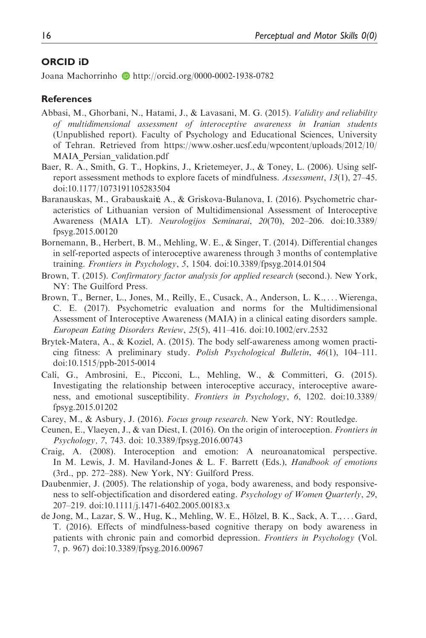### ORCID iD

Joana Machorrinho  $\bullet$  <http://orcid.org/0000-0002-1938-0782>

#### **References**

- Abbasi, M., Ghorbani, N., Hatami, J., & Lavasani, M. G. (2015). Validity and reliability of multidimensional assessment of interoceptive awareness in Iranian students (Unpublished report). Faculty of Psychology and Educational Sciences, University of Tehran. Retrieved from [https://www.osher.ucsf.edu/wpcontent/uploads/2012/10/](https://www.osher.ucsf.edu/wpcontent/uploads/2012/10/MAIA_Persian_validation.pdf) [MAIA\\_Persian\\_validation.pdf](https://www.osher.ucsf.edu/wpcontent/uploads/2012/10/MAIA_Persian_validation.pdf)
- Baer, R. A., Smith, G. T., Hopkins, J., Krietemeyer, J., & Toney, L. (2006). Using selfreport assessment methods to explore facets of mindfulness. Assessment, 13(1), 27–45. doi:10.1177/1073191105283504
- Baranauskas, M., Grabauskait, A., & Griskova-Bulanova, I. (2016). Psychometric characteristics of Lithuanian version of Multidimensional Assessment of Interoceptive Awareness (MAIA LT). Neurologijos Seminarai, 20(70), 202–206. doi:10.3389/ fpsyg.2015.00120
- Bornemann, B., Herbert, B. M., Mehling, W. E., & Singer, T. (2014). Differential changes in self-reported aspects of interoceptive awareness through 3 months of contemplative training. Frontiers in Psychology, 5, 1504. doi:10.3389/fpsyg.2014.01504
- Brown, T. (2015). Confirmatory factor analysis for applied research (second.). New York, NY: The Guilford Press.
- Brown, T., Berner, L., Jones, M., Reilly, E., Cusack, A., Anderson, L. K., ... Wierenga, C. E. (2017). Psychometric evaluation and norms for the Multidimensional Assessment of Interoceptive Awareness (MAIA) in a clinical eating disorders sample. European Eating Disorders Review, 25(5), 411–416. doi:10.1002/erv.2532
- Brytek-Matera, A., & Koziel, A. (2015). The body self-awareness among women practicing fitness: A preliminary study. Polish Psychological Bulletin, 46(1), 104–111. doi:10.1515/ppb-2015-0014
- Calí, G., Ambrosini, E., Picconi, L., Mehling, W., & Committeri, G. (2015). Investigating the relationship between interoceptive accuracy, interoceptive awareness, and emotional susceptibility. Frontiers in Psychology, 6, 1202. doi:10.3389/ fpsyg.2015.01202
- Carey, M., & Asbury, J. (2016). Focus group research. New York, NY: Routledge.
- Ceunen, E., Vlaeyen, J., & van Diest, I. (2016). On the origin of interoception. Frontiers in Psychology, 7, 743. doi: 10.3389/fpsyg.2016.00743
- Craig, A. (2008). Interoception and emotion: A neuroanatomical perspective. In M. Lewis, J. M. Haviland-Jones & L. F. Barrett (Eds.), Handbook of emotions (3rd., pp. 272–288). New York, NY: Guilford Press.
- Daubenmier, J. (2005). The relationship of yoga, body awareness, and body responsiveness to self-objectification and disordered eating. Psychology of Women Quarterly, 29, 207–219. doi:10.1111/j.1471-6402.2005.00183.x
- de Jong, M., Lazar, S. W., Hug, K., Mehling, W. E., Hölzel, B. K., Sack, A. T., ... Gard, T. (2016). Effects of mindfulness-based cognitive therapy on body awareness in patients with chronic pain and comorbid depression. Frontiers in Psychology (Vol. 7, p. 967) doi:10.3389/fpsyg.2016.00967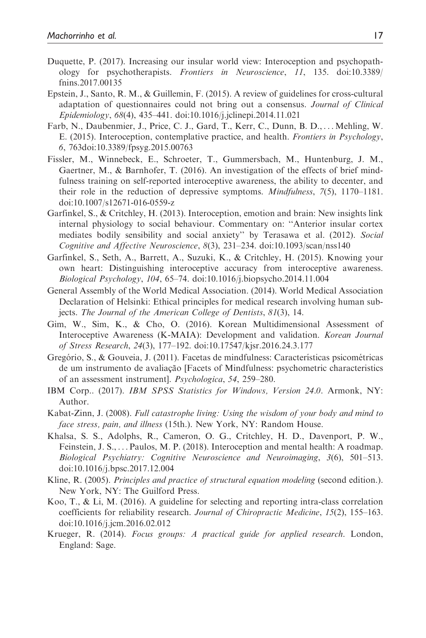- Duquette, P. (2017). Increasing our insular world view: Interoception and psychopathology for psychotherapists. Frontiers in Neuroscience, 11, 135. doi:10.3389/ fnins.2017.00135
- Epstein, J., Santo, R. M., & Guillemin, F. (2015). A review of guidelines for cross-cultural adaptation of questionnaires could not bring out a consensus. Journal of Clinical Epidemiology, 68(4), 435–441. doi:10.1016/j.jclinepi.2014.11.021
- Farb, N., Daubenmier, J., Price, C. J., Gard, T., Kerr, C., Dunn, B. D., ... Mehling, W. E. (2015). Interoception, contemplative practice, and health. Frontiers in Psychology, 6, 763doi:10.3389/fpsyg.2015.00763
- Fissler, M., Winnebeck, E., Schroeter, T., Gummersbach, M., Huntenburg, J. M., Gaertner, M., & Barnhofer, T. (2016). An investigation of the effects of brief mindfulness training on self-reported interoceptive awareness, the ability to decenter, and their role in the reduction of depressive symptoms. Mindfulness, 7(5), 1170–1181. doi:10.1007/s12671-016-0559-z
- Garfinkel, S., & Critchley, H. (2013). Interoception, emotion and brain: New insights link internal physiology to social behaviour. Commentary on: ''Anterior insular cortex mediates bodily sensibility and social anxiety'' by Terasawa et al. (2012). Social Cognitive and Affective Neuroscience, 8(3), 231–234. doi:10.1093/scan/nss140
- Garfinkel, S., Seth, A., Barrett, A., Suzuki, K., & Critchley, H. (2015). Knowing your own heart: Distinguishing interoceptive accuracy from interoceptive awareness. Biological Psychology, 104, 65–74. doi:10.1016/j.biopsycho.2014.11.004
- General Assembly of the World Medical Association. (2014). World Medical Association Declaration of Helsinki: Ethical principles for medical research involving human subjects. The Journal of the American College of Dentists, 81(3), 14.
- Gim, W., Sim, K., & Cho, O. (2016). Korean Multidimensional Assessment of Interoceptive Awareness (K-MAIA): Development and validation. Korean Journal of Stress Research, 24(3), 177–192. doi:10.17547/kjsr.2016.24.3.177
- Gregório, S., & Gouveia, J. (2011). Facetas de mindfulness: Características psicométricas de um instrumento de avaliação [Facets of Mindfulness: psychometric characteristics] of an assessment instrument]. Psychologica, 54, 259–280.
- IBM Corp.. (2017). IBM SPSS Statistics for Windows, Version 24.0. Armonk, NY: Author.
- Kabat-Zinn, J. (2008). Full catastrophe living: Using the wisdom of your body and mind to face stress, pain, and illness (15th.). New York, NY: Random House.
- Khalsa, S. S., Adolphs, R., Cameron, O. G., Critchley, H. D., Davenport, P. W., Feinstein, J. S., ... Paulos, M. P. (2018). Interoception and mental health: A roadmap. Biological Psychiatry: Cognitive Neuroscience and Neuroimaging, 3(6), 501–513. doi:10.1016/j.bpsc.2017.12.004
- Kline, R. (2005). Principles and practice of structural equation modeling (second edition.). New York, NY: The Guilford Press.
- Koo, T., & Li, M. (2016). A guideline for selecting and reporting intra-class correlation coefficients for reliability research. Journal of Chiropractic Medicine, 15(2), 155–163. doi:10.1016/j.jcm.2016.02.012
- Krueger, R. (2014). Focus groups: A practical guide for applied research. London, England: Sage.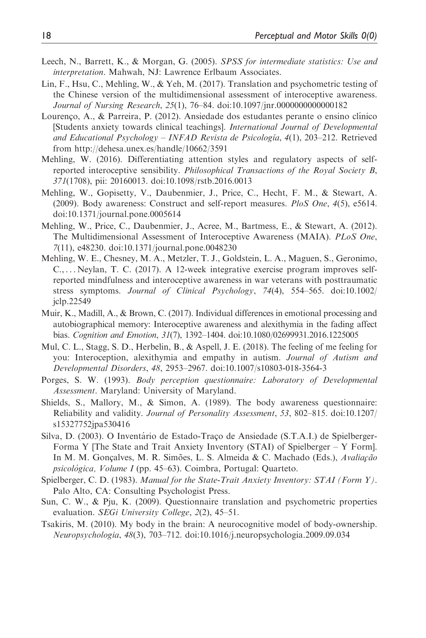- Leech, N., Barrett, K., & Morgan, G. (2005). SPSS for intermediate statistics: Use and interpretation. Mahwah, NJ: Lawrence Erlbaum Associates.
- Lin, F., Hsu, C., Mehling, W., & Yeh, M. (2017). Translation and psychometric testing of the Chinese version of the multidimensional assessment of interoceptive awareness. Journal of Nursing Research, 25(1), 76–84. doi:10.1097/jnr.0000000000000182
- Lourenco, A., & Parreira, P. (2012). Ansiedade dos estudantes perante o ensino clínico [Students anxiety towards clinical teachings]. International Journal of Developmental and Educational Psychology – INFAD Revista de Psicología,  $4(1)$ , 203–212. Retrieved from<http://dehesa.unex.es/handle/10662/3591>
- Mehling, W. (2016). Differentiating attention styles and regulatory aspects of selfreported interoceptive sensibility. Philosophical Transactions of the Royal Society B, 371(1708), pii: 20160013. doi:10.1098/rstb.2016.0013
- Mehling, W., Gopisetty, V., Daubenmier, J., Price, C., Hecht, F. M., & Stewart, A. (2009). Body awareness: Construct and self-report measures.  $P$ loS One,  $4(5)$ , e5614. doi:10.1371/journal.pone.0005614
- Mehling, W., Price, C., Daubenmier, J., Acree, M., Bartmess, E., & Stewart, A. (2012). The Multidimensional Assessment of Interoceptive Awareness (MAIA). PLoS One, 7(11), e48230. doi:10.1371/journal.pone.0048230
- Mehling, W. E., Chesney, M. A., Metzler, T. J., Goldstein, L. A., Maguen, S., Geronimo, C., ... Neylan, T. C. (2017). A 12-week integrative exercise program improves selfreported mindfulness and interoceptive awareness in war veterans with posttraumatic stress symptoms. Journal of Clinical Psychology, 74(4), 554–565. doi:10.1002/ jclp.22549
- Muir, K., Madill, A., & Brown, C. (2017). Individual differences in emotional processing and autobiographical memory: Interoceptive awareness and alexithymia in the fading affect bias. Cognition and Emotion, 31(7), 1392–1404. doi:10.1080/02699931.2016.1225005
- Mul, C. L., Stagg, S. D., Herbelin, B., & Aspell, J. E. (2018). The feeling of me feeling for you: Interoception, alexithymia and empathy in autism. Journal of Autism and Developmental Disorders, 48, 2953–2967. doi:10.1007/s10803-018-3564-3
- Porges, S. W. (1993). Body perception questionnaire: Laboratory of Developmental Assessment. Maryland: University of Maryland.
- Shields, S., Mallory, M., & Simon, A. (1989). The body awareness questionnaire: Reliability and validity. Journal of Personality Assessment, 53, 802–815. doi:10.1207/ s15327752jpa530416
- Silva, D. (2003). O Inventário de Estado-Traço de Ansiedade (S.T.A.I.) de Spielberger-Forma Y [The State and Trait Anxiety Inventory (STAI) of Spielberger – Y Form]. In M. M. Gonçalves, M. R. Simões, L. S. Almeida & C. Machado (Eds.), Avaliação psicológica, Volume I (pp. 45–63). Coimbra, Portugal: Quarteto.
- Spielberger, C. D. (1983). Manual for the State-Trait Anxiety Inventory: STAI (Form Y). Palo Alto, CA: Consulting Psychologist Press.
- Sun, C. W., & Pju, K. (2009). Questionnaire translation and psychometric properties evaluation. SEGi University College, 2(2), 45-51.
- Tsakiris, M. (2010). My body in the brain: A neurocognitive model of body-ownership. Neuropsychologia, 48(3), 703–712. doi:10.1016/j.neuropsychologia.2009.09.034